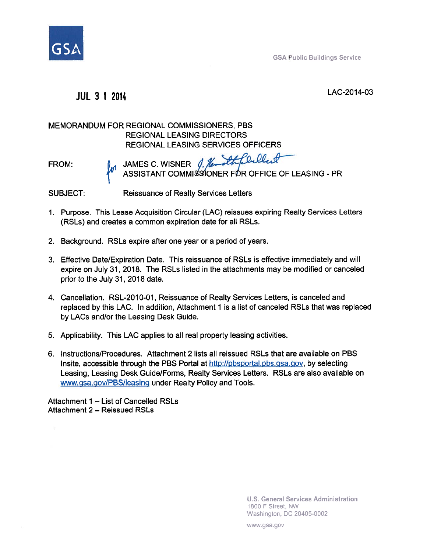

**GSA Public Buildings Service** 

## **JUL 3 1 2014** LAC-2014-03

## MEMORANDUM FOR REGIONAL COMMISSIONERS, PBS REGIONAL LEASING DIRECTORS REGIONAL LEASING SERVICES OFFICERS MEMORANDUM FOR REGIONAL COMMISSIONERS, PBS<br>
REGIONAL LEASING DIRECTORS<br>
REGIONAL LEASING SERVICES OFFICERS<br>
FROM: JAMES C. WISNER *(, femalt couled*

 $\bar{\rm s}$ 

thReiller

SUBJECT: Reissuance of Realty Services Letters

- 1. Purpose. This Lease Acquisition Circular (LAC) reissues expiring Realty Services Letters (RSLs) and creates a common expiration date for all RSLs.
- 2. Background. RSLs expire after one year or a period of years.
- 3. Effective Date/Expiration Date. This reissuance of RSLs is effective immediately and will expire on July 31, 2018. The RSLs listed in the attachments may be modified or canceled prior to the July 31, 2018 date.
- 4. Cancellation. RSL-2010-01, Reissuance of Realty Services Letters, is canceled and replaced by this LAC. In addition, Attachment 1 is a list of canceled RSLs that was replaced by LACs and/or the Leasing Desk Guide.
- 5. Applicability. This LAC applies to all real property leasing activities.
- 6. Instructions/Procedures. Attachment 2 lists all reissued RSLs that are available on PBS Insite, accessible through the PBS Portal at http://pbsgortal.pbs.gsa.gov, by selecting Leasing, Leasing Desk Guide/Forms, Realty Services Letters. RSLs are also available on www.gsa.gov/PBS/leasing under Realty Policy and Tools.

Attachment  $1 -$  List of Cancelled RSLs Attachment 2 - Reissued RSLs

> **U.S. General Services Administration**  1800 F Street, NW Washington, DC 20405-0002

www.gsa.gov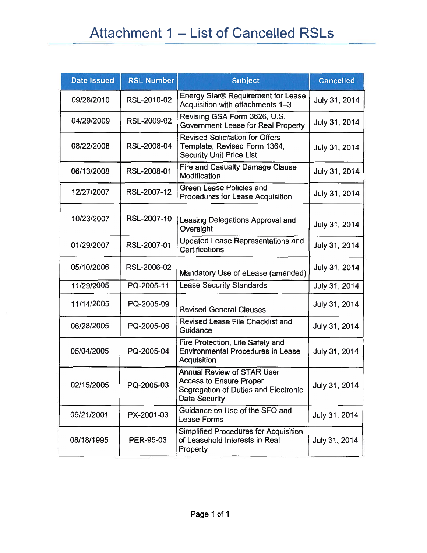| <b>Date Issued</b> | <b>RSL Number</b> | <b>Subject</b>                                                                                                               | <b>Cancelled</b> |
|--------------------|-------------------|------------------------------------------------------------------------------------------------------------------------------|------------------|
| 09/28/2010         | RSL-2010-02       | Energy Star® Requirement for Lease<br>Acquisition with attachments 1-3                                                       | July 31, 2014    |
| 04/29/2009         | RSL-2009-02       | Revising GSA Form 3626, U.S.<br>Government Lease for Real Property                                                           | July 31, 2014    |
| 08/22/2008         | RSL-2008-04       | <b>Revised Solicitation for Offers</b><br>Template, Revised Form 1364,<br><b>Security Unit Price List</b>                    | July 31, 2014    |
| 06/13/2008         | RSL-2008-01       | Fire and Casualty Damage Clause<br>Modification                                                                              | July 31, 2014    |
| 12/27/2007         | RSL-2007-12       | <b>Green Lease Policies and</b><br>Procedures for Lease Acquisition                                                          | July 31, 2014    |
| 10/23/2007         | RSL-2007-10       | Leasing Delegations Approval and<br>Oversight                                                                                | July 31, 2014    |
| 01/29/2007         | RSL-2007-01       | <b>Updated Lease Representations and</b><br><b>Certifications</b>                                                            | July 31, 2014    |
| 05/10/2006         | RSL-2006-02       | Mandatory Use of eLease (amended)                                                                                            | July 31, 2014    |
| 11/29/2005         | PQ-2005-11        | <b>Lease Security Standards</b>                                                                                              | July 31, 2014    |
| 11/14/2005         | PQ-2005-09        | <b>Revised General Clauses</b>                                                                                               | July 31, 2014    |
| 06/28/2005         | PQ-2005-06        | Revised Lease File Checklist and<br>Guidance                                                                                 | July 31, 2014    |
| 05/04/2005         | PQ-2005-04        | Fire Protection, Life Safety and<br><b>Environmental Procedures in Lease</b><br>Acquisition                                  | July 31, 2014    |
| 02/15/2005         | PQ-2005-03        | <b>Annual Review of STAR User</b><br><b>Access to Ensure Proper</b><br>Segregation of Duties and Electronic<br>Data Security | July 31, 2014    |
| 09/21/2001         | PX-2001-03        | Guidance on Use of the SFO and<br>Lease Forms                                                                                | July 31, 2014    |
| 08/18/1995         | PER-95-03         | Simplified Procedures for Acquisition<br>of Leasehold Interests in Real<br>Property                                          | July 31, 2014    |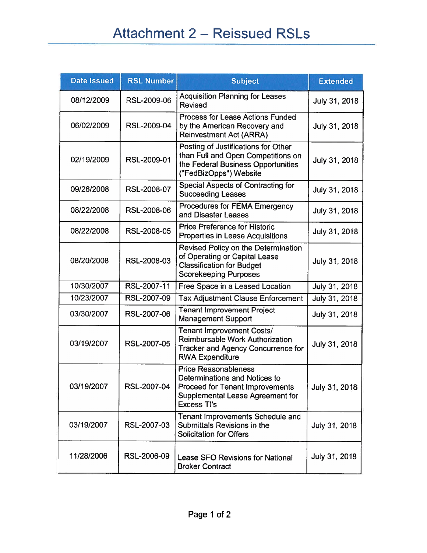| <b>Date Issued</b> | <b>RSL Number</b> | <b>Subject</b>                                                                                                                                            | <b>Extended</b> |
|--------------------|-------------------|-----------------------------------------------------------------------------------------------------------------------------------------------------------|-----------------|
| 08/12/2009         | RSL-2009-06       | <b>Acquisition Planning for Leases</b><br><b>Revised</b>                                                                                                  | July 31, 2018   |
| 06/02/2009         | RSL-2009-04       | <b>Process for Lease Actions Funded</b><br>by the American Recovery and<br><b>Reinvestment Act (ARRA)</b>                                                 | July 31, 2018   |
| 02/19/2009         | RSL-2009-01       | Posting of Justifications for Other<br>than Full and Open Competitions on<br>the Federal Business Opportunities<br>("FedBizOpps") Website                 | July 31, 2018   |
| 09/26/2008         | RSL-2008-07       | Special Aspects of Contracting for<br><b>Succeeding Leases</b>                                                                                            | July 31, 2018   |
| 08/22/2008         | RSL-2008-06       | Procedures for FEMA Emergency<br>and Disaster Leases                                                                                                      | July 31, 2018   |
| 08/22/2008         | RSL-2008-05       | <b>Price Preference for Historic</b><br><b>Properties in Lease Acquisitions</b>                                                                           | July 31, 2018   |
| 08/20/2008         | RSL-2008-03       | Revised Policy on the Determination<br>of Operating or Capital Lease<br><b>Classification for Budget</b><br><b>Scorekeeping Purposes</b>                  | July 31, 2018   |
| 10/30/2007         | RSL-2007-11       | Free Space in a Leased Location                                                                                                                           | July 31, 2018   |
| 10/23/2007         | RSL-2007-09       | <b>Tax Adjustment Clause Enforcement</b>                                                                                                                  | July 31, 2018   |
| 03/30/2007         | RSL-2007-06       | <b>Tenant Improvement Project</b><br><b>Management Support</b>                                                                                            | July 31, 2018   |
| 03/19/2007         | RSL-2007-05       | <b>Tenant Improvement Costs/</b><br>Reimbursable Work Authorization<br><b>Tracker and Agency Concurrence for</b><br><b>RWA Expenditure</b>                | July 31, 2018   |
| 03/19/2007         | RSL-2007-04       | <b>Price Reasonableness</b><br>Determinations and Notices to<br>Proceed for Tenant Improvements<br>Supplemental Lease Agreement for<br><b>Excess TI's</b> | July 31, 2018   |
| 03/19/2007         | RSL-2007-03       | Tenant Improvements Schedule and<br>Submittals Revisions in the<br><b>Solicitation for Offers</b>                                                         | July 31, 2018   |
| 11/28/2006         | RSL-2006-09       | Lease SFO Revisions for National<br><b>Broker Contract</b>                                                                                                | July 31, 2018   |